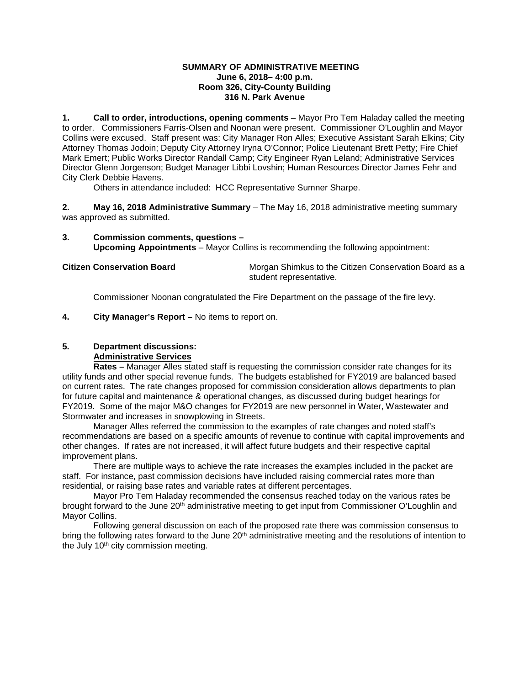#### **SUMMARY OF ADMINISTRATIVE MEETING June 6, 2018– 4:00 p.m. Room 326, City-County Building 316 N. Park Avenue**

**1. Call to order, introductions, opening comments** – Mayor Pro Tem Haladay called the meeting to order. Commissioners Farris-Olsen and Noonan were present. Commissioner O'Loughlin and Mayor Collins were excused. Staff present was: City Manager Ron Alles; Executive Assistant Sarah Elkins; City Attorney Thomas Jodoin; Deputy City Attorney Iryna O'Connor; Police Lieutenant Brett Petty; Fire Chief Mark Emert; Public Works Director Randall Camp; City Engineer Ryan Leland; Administrative Services Director Glenn Jorgenson; Budget Manager Libbi Lovshin; Human Resources Director James Fehr and City Clerk Debbie Havens.

Others in attendance included: HCC Representative Sumner Sharpe.

**2. May 16, 2018 Administrative Summary** – The May 16, 2018 administrative meeting summary was approved as submitted.

**3. Commission comments, questions – Upcoming Appointments** – Mayor Collins is recommending the following appointment:

**Citizen Conservation Board** Morgan Shimkus to the Citizen Conservation Board as a student representative.

Commissioner Noonan congratulated the Fire Department on the passage of the fire levy.

**4. City Manager's Report –** No items to report on.

### **5. Department discussions:**

### **Administrative Services**

**Rates –** Manager Alles stated staff is requesting the commission consider rate changes for its utility funds and other special revenue funds. The budgets established for FY2019 are balanced based on current rates. The rate changes proposed for commission consideration allows departments to plan for future capital and maintenance & operational changes, as discussed during budget hearings for FY2019. Some of the major M&O changes for FY2019 are new personnel in Water, Wastewater and Stormwater and increases in snowplowing in Streets.

Manager Alles referred the commission to the examples of rate changes and noted staff's recommendations are based on a specific amounts of revenue to continue with capital improvements and other changes. If rates are not increased, it will affect future budgets and their respective capital improvement plans.

There are multiple ways to achieve the rate increases the examples included in the packet are staff. For instance, past commission decisions have included raising commercial rates more than residential, or raising base rates and variable rates at different percentages.

Mayor Pro Tem Haladay recommended the consensus reached today on the various rates be brought forward to the June 20<sup>th</sup> administrative meeting to get input from Commissioner O'Loughlin and Mayor Collins.

Following general discussion on each of the proposed rate there was commission consensus to bring the following rates forward to the June 20<sup>th</sup> administrative meeting and the resolutions of intention to the July 10<sup>th</sup> city commission meeting.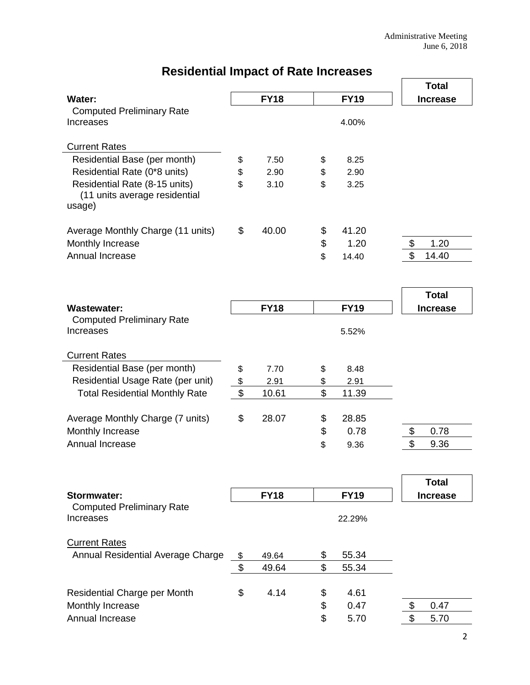|                                                       |             |          |             | <b>Total</b>                    |
|-------------------------------------------------------|-------------|----------|-------------|---------------------------------|
| Water:                                                | <b>FY18</b> |          | <b>FY19</b> | <b>Increase</b>                 |
| <b>Computed Preliminary Rate</b>                      |             |          |             |                                 |
| Increases                                             |             |          | 4.00%       |                                 |
| <b>Current Rates</b>                                  |             |          |             |                                 |
| Residential Base (per month)                          | \$<br>7.50  | \$       | 8.25        |                                 |
| Residential Rate (0*8 units)                          | \$<br>2.90  | \$       | 2.90        |                                 |
| Residential Rate (8-15 units)                         | \$<br>3.10  | \$       | 3.25        |                                 |
| (11 units average residential                         |             |          |             |                                 |
| usage)                                                |             |          |             |                                 |
|                                                       | \$<br>40.00 |          | 41.20       |                                 |
| Average Monthly Charge (11 units)<br>Monthly Increase |             | \$<br>\$ | 1.20        | \$<br>1.20                      |
| Annual Increase                                       |             | \$       | 14.40       | \$<br>14.40                     |
|                                                       |             |          |             |                                 |
|                                                       |             |          |             |                                 |
|                                                       |             |          |             | <b>Total</b>                    |
| <b>Wastewater:</b>                                    | <b>FY18</b> |          | <b>FY19</b> | <b>Increase</b>                 |
| <b>Computed Preliminary Rate</b>                      |             |          |             |                                 |
| Increases                                             |             |          | 5.52%       |                                 |
| <b>Current Rates</b>                                  |             |          |             |                                 |
| Residential Base (per month)                          | \$<br>7.70  | \$       | 8.48        |                                 |
| Residential Usage Rate (per unit)                     | \$<br>2.91  | \$       | 2.91        |                                 |
| <b>Total Residential Monthly Rate</b>                 | \$<br>10.61 | \$       | 11.39       |                                 |
|                                                       |             |          |             |                                 |
| Average Monthly Charge (7 units)                      | \$<br>28.07 | \$       | 28.85       |                                 |
| Monthly Increase                                      |             | \$       | 0.78        | \$<br>0.78                      |
| Annual Increase                                       |             | \$       | 9.36        | $\mathfrak{L}$<br>9.36          |
|                                                       |             |          |             |                                 |
|                                                       |             |          |             |                                 |
| <b>Stormwater:</b>                                    | <b>FY18</b> |          | <b>FY19</b> | <b>Total</b><br><b>Increase</b> |
| <b>Computed Preliminary Rate</b>                      |             |          |             |                                 |
| Increases                                             |             |          | 22.29%      |                                 |
|                                                       |             |          |             |                                 |
| <b>Current Rates</b>                                  |             |          |             |                                 |
| Annual Residential Average Charge                     | \$<br>49.64 | \$       | 55.34       |                                 |
|                                                       | \$<br>49.64 | \$       | 55.34       |                                 |
| Residential Charge per Month                          | \$<br>4.14  |          | 4.61        |                                 |
| Monthly Increase                                      |             | \$<br>\$ | 0.47        | 0.47<br>\$                      |
| Annual Increase                                       |             | \$       | 5.70        | \$<br>5.70                      |
|                                                       |             |          |             |                                 |

# **Residential Impact of Rate Increases**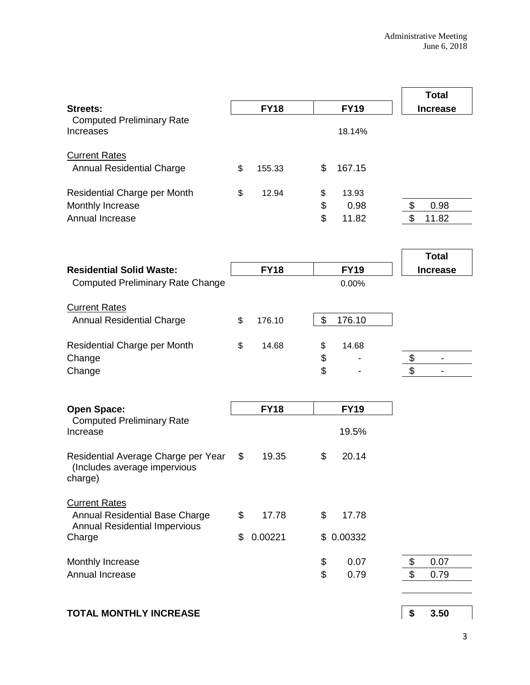|                                                                                |             |             |               |    | <b>Total</b>             |  |
|--------------------------------------------------------------------------------|-------------|-------------|---------------|----|--------------------------|--|
| <b>Streets:</b>                                                                |             | <b>FY18</b> | <b>FY19</b>   |    | <b>Increase</b>          |  |
| <b>Computed Preliminary Rate</b><br>Increases                                  |             |             | 18.14%        |    |                          |  |
| <b>Current Rates</b><br><b>Annual Residential Charge</b>                       | \$          | 155.33      | \$<br>167.15  |    |                          |  |
| Residential Charge per Month                                                   | \$          | 12.94       | \$<br>13.93   |    |                          |  |
| Monthly Increase                                                               |             |             | \$<br>0.98    | \$ | 0.98                     |  |
| Annual Increase                                                                |             |             | \$<br>11.82   | \$ | 11.82                    |  |
|                                                                                |             |             |               |    | <b>Total</b>             |  |
| <b>Residential Solid Waste:</b>                                                |             | <b>FY18</b> | <b>FY19</b>   |    | <b>Increase</b>          |  |
| <b>Computed Preliminary Rate Change</b>                                        |             |             | 0.00%         |    |                          |  |
| <b>Current Rates</b>                                                           |             |             |               |    |                          |  |
| <b>Annual Residential Charge</b>                                               | \$          | 176.10      | \$<br>176.10  |    |                          |  |
| Residential Charge per Month                                                   | \$          | 14.68       | \$<br>14.68   |    |                          |  |
| Change                                                                         |             |             | \$            | \$ | $\overline{\phantom{a}}$ |  |
| Change                                                                         |             |             | \$            | \$ |                          |  |
| <b>Open Space:</b>                                                             | <b>FY18</b> |             | <b>FY19</b>   |    |                          |  |
| <b>Computed Preliminary Rate</b><br>Increase                                   |             |             | 19.5%         |    |                          |  |
| Residential Average Charge per Year<br>(Includes average impervious<br>charge) | \$          | 19.35       | \$<br>20.14   |    |                          |  |
| <b>Current Rates</b><br>Annual Residential Base Charge                         | \$          | 17.78       | \$<br>17.78   |    |                          |  |
| <b>Annual Residential Impervious</b>                                           |             |             |               |    |                          |  |
| Charge                                                                         | \$          | 0.00221     | \$<br>0.00332 |    |                          |  |
| Monthly Increase                                                               |             |             | \$<br>0.07    | \$ | 0.07                     |  |
| Annual Increase                                                                |             |             | \$<br>0.79    | \$ | 0.79                     |  |
|                                                                                |             |             |               |    |                          |  |
| <b>TOTAL MONTHLY INCREASE</b>                                                  |             |             |               | \$ | 3.50                     |  |